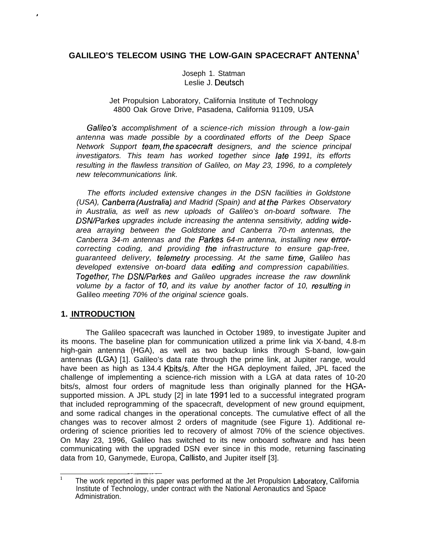# **GALILEO'S TELECOM USING THE LOW-GAIN SPACECRAFT ANTENNA1**

Joseph 1. Statman Leslie J. Deutsch

#### Jet Propulsion Laboratory, California Institute of Technology 4800 Oak Grove Drive, Pasadena, California 91109, USA

Galileo's accomplishment of a science-rich mission through a low-gain antenna was made possible by a coordinated efforts of the Deep Space Network Support team, the spacecraft designers, and the science principal investigators. This team has worked together since Iafe 1991, its efforts resulting in the flawless transition of Galileo, on May 23, 1996, to a completely new telecommunications link.

The efforts included extensive changes in the DSN facilities in Goldstone (USA), Canberra (Australia) and Madrid (Spain) and at the Parkes Observatory in Australia, as well as new uploads of Galileo's on-board software. The DSN/Parkes upgrades include increasing the antenna sensitivity, adding widearea arraying between the Goldstone and Canberra 70-m antennas, the Canberra 34-m antennas and the Parkes 64-m antenna, installing new errorcorrecting coding, and providing fhe infrastructure to ensure gap-free, guaranteed delivery, telemetry processing. At the same time, Galileo has developed extensive on-board data edifing and compression capabilities. Together, The DSN/Parkes and Galileo upgrades increase the raw downlink volume by a factor of 10, and its value by another factor of 10, resulfing in Galileo meeting 70% of the original science goals.

# **1. INTRODUCTION**

#

The Galileo spacecraft was launched in October 1989, to investigate Jupiter and its moons. The baseline plan for communication utilized a prime link via X-band, 4.8-m high-gain antenna (HGA), as well as two backup links through S-band, low-gain antennas (LGA) [1]. Galileo's data rate through the prime link, at Jupiter range, would have been as high as 134.4 Kbits/s. After the HGA deployment failed, JPL faced the challenge of implementing a science-rich mission with a LGA at data rates of 10-20 bits/s, almost four orders of magnitude less than originally planned for the HGAsupported mission. A JPL study [2] in late 1991 led to a successful integrated program that included reprogramming of the spacecraft, development of new ground equipment, and some radical changes in the operational concepts. The cumulative effect of all the changes was to recover almost 2 orders of magnitude (see Figure 1). Additional reordering of science priorities led to recovery of almost 70% of the science objectives. On May 23, 1996, Galileo has switched to its new onboard software and has been communicating with the upgraded DSN ever since in this mode, returning fascinating data from 10, Ganymede, Europa, Callisto, and Jupiter itself [3].

The work reported in this paper was performed at the Jet Propulsion Laboratory, California Institute of Technology, under contract with the National Aeronautics and Space Administration.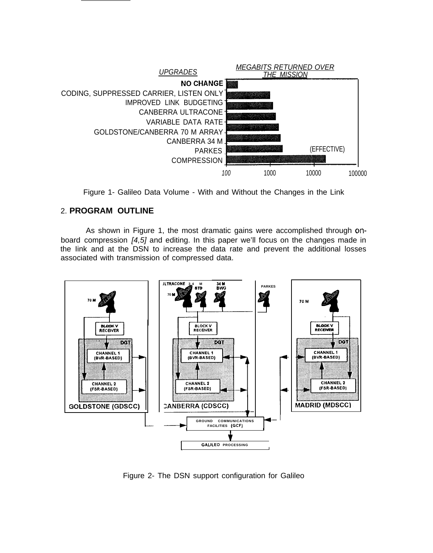

Figure 1- Galileo Data Volume - With and Without the Changes in the Link

# 2. **PROGRAM OUTLINE**

As shown in Figure 1, the most dramatic gains were accomplished through onboard compression [4,5] and editing. In this paper we'll focus on the changes made in the Iink and at the DSN to increase the data rate and prevent the additional losses associated with transmission of compressed data.



Figure 2- The DSN support configuration for Galileo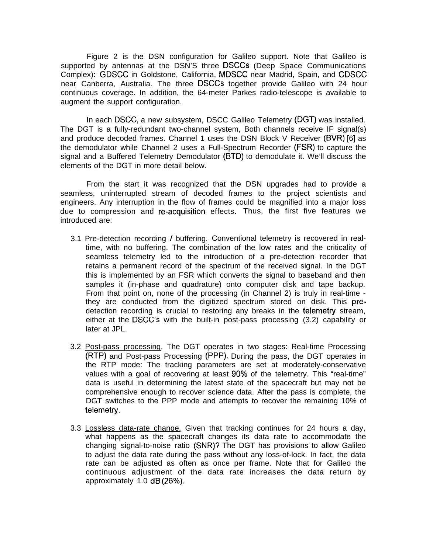Figure 2 is the DSN configuration for Galileo support. Note that Galileo is supported by antennas at the DSN'S three DSCCS (Deep Space Communications Complex): GDSCC in Goldstone, California, MDSCC near Madrid, Spain, and CDSCC near Canberra, Australia. The three DSCCS together provide Galileo with 24 hour continuous coverage. In addition, the 64-meter Parkes radio-telescope is available to augment the support configuration.

In each DSCC, a new subsystem, DSCC Galileo Telemetry (DGT) was installed. The DGT is a fully-redundant two-channel system, Both channels receive IF signal(s) and produce decoded frames. Channel 1 uses the DSN Block V Receiver (BVR) [6] as the demodulator while Channel 2 uses a Full-Spectrum Recorder (FSR) to capture the signal and a Buffered Telemetry Demodulator (BTD) to demodulate it. We'll discuss the elements of the DGT in more detail below.

From the start it was recognized that the DSN upgrades had to provide a seamless, uninterrupted stream of decoded frames to the project scientists and engineers. Any interruption in the flow of frames could be magnified into a major loss due to compression and re-acquisition effects. Thus, the first five features we introduced are:

- 3.1 Pre-detection recording / buffering. Conventional telemetry is recovered in realtime, with no buffering. The combination of the low rates and the criticality of seamless telemetry led to the introduction of a pre-detection recorder that retains a permanent record of the spectrum of the received signal. In the DGT this is implemented by an FSR which converts the signal to baseband and then samples it (in-phase and quadrature) onto computer disk and tape backup. From that point on, none of the processing (in Channel 2) is truly in real-time they are conducted from the digitized spectrum stored on disk. This predetection recording is crucial to restoring any breaks in the telemetry stream, either at the DSCC'S with the built-in post-pass processing (3.2) capability or later at JPL.
- 3.2 Post-pass processing. The DGT operates in two stages: Real-time Processing (RTP) and Post-pass Processing (PPP). During the pass, the DGT operates in the RTP mode: The tracking parameters are set at moderately-conservative values with a goal of recovering at least 90% of the telemetry. This "real-time" data is useful in determining the latest state of the spacecraft but may not be comprehensive enough to recover science data. After the pass is complete, the DGT switches to the PPP mode and attempts to recover the remaining 10% of telemetry.
- 3.3 Lossless data-rate change. Given that tracking continues for 24 hours a day, what happens as the spacecraft changes its data rate to accommodate the changing signal-to-noise ratio (SNR)? The DGT has provisions to allow Galileo to adjust the data rate during the pass without any loss-of-lock. In fact, the data rate can be adjusted as often as once per frame. Note that for Galileo the continuous adjustment of the data rate increases the data return by approximately 1.0 dB (26Yo).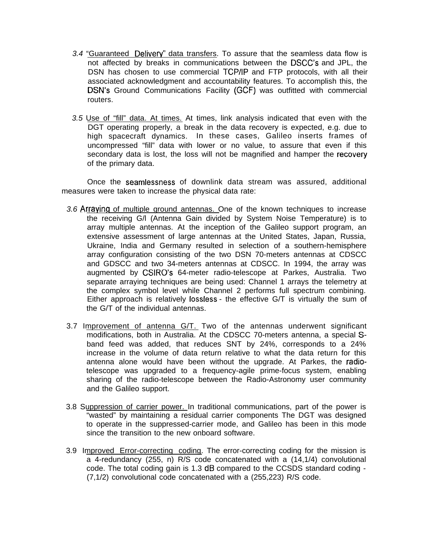- 3.4 "Guaranteed Delivery" data transfers. To assure that the seamless data flow is not affected by breaks in communications between the DSCC'S and JPL, the DSN has chosen to use commercial TCP/lP and FTP protocols, with all their associated acknowledgment and accountability features. To accomplish this, the DSN'S Ground Communications Facility (GCF) was outfitted with commercial routers.
- 3.5 Use of "fill" data. At times. At times, link analysis indicated that even with the DGT operating properly, a break in the data recovery is expected, e.g. due to high spacecraft dynamics. In these cases, Galileo inserts frames of uncompressed "fill" data with lower or no value, to assure that even if this secondary data is lost, the loss will not be magnified and hamper the recovery of the primary data.

Once the seamlessness of downlink data stream was assured, additional measures were taken to increase the physical data rate:

- 3.6 Arraving of multiple ground antennas. One of the known techniques to increase the receiving G/l (Antenna Gain divided by System Noise Temperature) is to array multiple antennas. At the inception of the Galileo support program, an extensive assessment of large antennas at the United States, Japan, Russia, Ukraine, India and Germany resulted in selection of a southern-hemisphere array configuration consisting of the two DSN 70-meters antennas at CDSCC and GDSCC and two 34-meters antennas at CDSCC. In 1994, the array was augmented by CSIRO'S 64-meter radio-telescope at Parkes, Australia. Two separate arraying techniques are being used: Channel 1 arrays the telemetry at the complex symbol level while Channel 2 performs full spectrum combining. Either approach is relatively Iossless - the effective G/T is virtually the sum of the G/T of the individual antennas.
- 3.7 Improvement of antenna G/T. Two of the antennas underwent significant modifications, both in Australia. At the CDSCC 70-meters antenna, a special Sband feed was added, that reduces SNT by 24%, corresponds to a 24% increase in the volume of data return relative to what the data return for this antenna alone would have been without the upgrade. At Parkes, the radiotelescope was upgraded to a frequency-agile prime-focus system, enabling sharing of the radio-telescope between the Radio-Astronomy user community and the Galileo support.
- 3.8 Suppression of carrier power. In traditional communications, part of the power is "wasted" by maintaining a residual carrier components The DGT was designed to operate in the suppressed-carrier mode, and Galileo has been in this mode since the transition to the new onboard software.
- 3.9 Improved Error-correcting coding. The error-correcting coding for the mission is a 4-redundancy  $(255, n)$  R/S code concatenated with a  $(14, 1/4)$  convolutional code. The total coding gain is 1.3 dB compared to the CCSDS standard coding - (7,1/2) convolutional code concatenated with a (255,223) R/S code.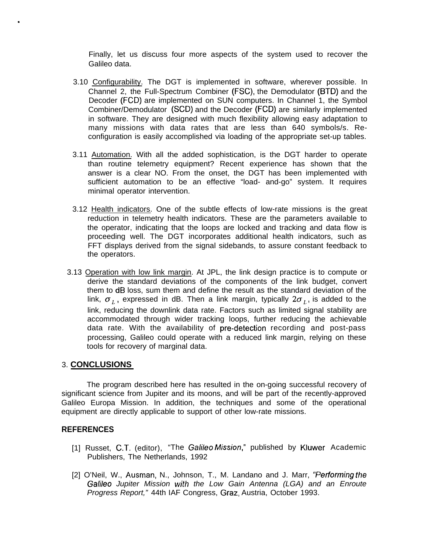Finally, let us discuss four more aspects of the system used to recover the Galileo data.

- 3.10 Configurability. The DGT is implemented in software, wherever possible. In Channel 2, the Full-Spectrum Combiner (FSC), the Demodulator (BTD) and the Decoder (FCD) are implemented on SUN computers. In Channel 1, the Symbol Combiner/Demodulator (SCD) and the Decoder (FCD) are similarly implemented in software. They are designed with much flexibility allowing easy adaptation to many missions with data rates that are less than 640 symbols/s. Reconfiguration is easily accomplished via loading of the appropriate set-up tables.
- 3.11 Automation. With all the added sophistication, is the DGT harder to operate than routine telemetry equipment? Recent experience has shown that the answer is a clear NO. From the onset, the DGT has been implemented with sufficient automation to be an effective "load- and-go" system. It requires minimal operator intervention.
- 3.12 Health indicators. One of the subtle effects of low-rate missions is the great reduction in telemetry health indicators. These are the parameters available to the operator, indicating that the loops are locked and tracking and data flow is proceeding well. The DGT incorporates additional health indicators, such as FFT displays derived from the signal sidebands, to assure constant feedback to the operators.
- 3.13 Operation with low link margin. At JPL, the link design practice is to compute or derive the standard deviations of the components of the link budget, convert them to dB loss, sum them and define the result as the standard deviation of the link,  $\sigma_L$ , expressed in dB. Then a link margin, typically  $2\sigma_L$ , is added to the link, reducing the downlink data rate. Factors such as limited signal stability are accommodated through wider tracking loops, further reducing the achievable data rate. With the availability of pre-detection recording and post-pass processing, Galileo could operate with a reduced link margin, relying on these tools for recovery of marginal data.

# 3. **CONCLUSIONS**

.

The program described here has resulted in the on-going successful recovery of significant science from Jupiter and its moons, and will be part of the recently-approved Galileo Europa Mission. In addition, the techniques and some of the operational equipment are directly applicable to support of other low-rate missions.

# **REFERENCES**

- [1] Russet, C.T. (editor), "The Galileo Mission," published by Kluwer Academic Publishers, The Netherlands, 1992
- [2] O'Neil, W., Ausman, N., Johnson, T., M. Landano and J. Marr, "Performing the Galileo Jupiter Mission with the Low Gain Antenna (LGA) and an Enroute Progress Report," 44th IAF Congress, Graz, Austria, October 1993.